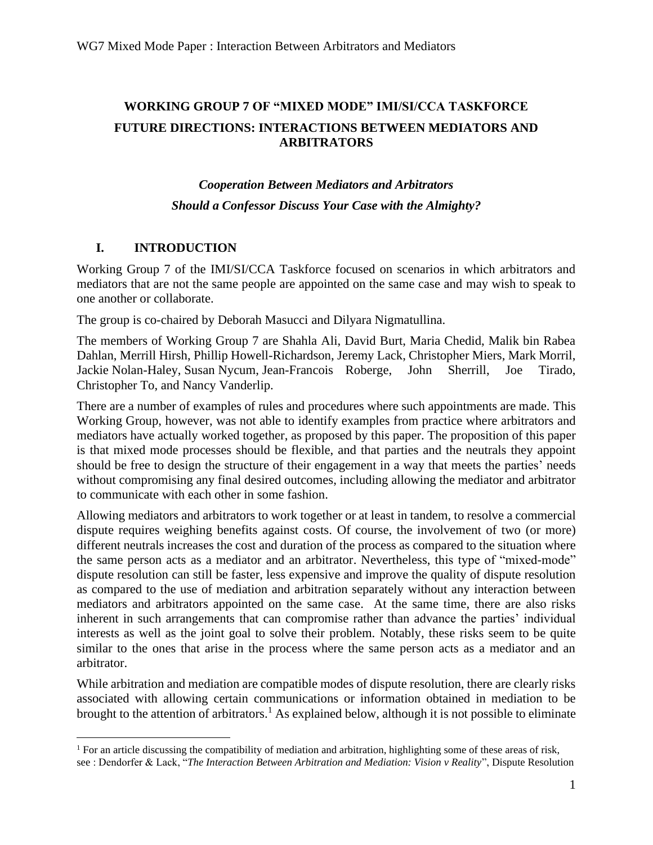## **WORKING GROUP 7 OF "MIXED MODE" IMI/SI/CCA TASKFORCE FUTURE DIRECTIONS: INTERACTIONS BETWEEN MEDIATORS AND ARBITRATORS**

# *Cooperation Between Mediators and Arbitrators Should a Confessor Discuss Your Case with the Almighty?*

#### **I. INTRODUCTION**

Working Group 7 of the IMI/SI/CCA Taskforce focused on scenarios in which arbitrators and mediators that are not the same people are appointed on the same case and may wish to speak to one another or collaborate.

The group is co-chaired by Deborah Masucci and Dilyara Nigmatullina.

The members of Working Group 7 are Shahla Ali, David Burt, Maria Chedid, Malik bin Rabea Dahlan, Merrill Hirsh, Phillip Howell-Richardson, Jeremy Lack, Christopher Miers, Mark Morril, Jackie Nolan-Haley, Susan Nycum, Jean-Francois Roberge, John Sherrill, Joe Tirado, Christopher To, and Nancy Vanderlip.

There are a number of examples of rules and procedures where such appointments are made. This Working Group, however, was not able to identify examples from practice where arbitrators and mediators have actually worked together, as proposed by this paper. The proposition of this paper is that mixed mode processes should be flexible, and that parties and the neutrals they appoint should be free to design the structure of their engagement in a way that meets the parties' needs without compromising any final desired outcomes, including allowing the mediator and arbitrator to communicate with each other in some fashion.

Allowing mediators and arbitrators to work together or at least in tandem, to resolve a commercial dispute requires weighing benefits against costs. Of course, the involvement of two (or more) different neutrals increases the cost and duration of the process as compared to the situation where the same person acts as a mediator and an arbitrator. Nevertheless, this type of "mixed-mode" dispute resolution can still be faster, less expensive and improve the quality of dispute resolution as compared to the use of mediation and arbitration separately without any interaction between mediators and arbitrators appointed on the same case. At the same time, there are also risks inherent in such arrangements that can compromise rather than advance the parties' individual interests as well as the joint goal to solve their problem. Notably, these risks seem to be quite similar to the ones that arise in the process where the same person acts as a mediator and an arbitrator.

While arbitration and mediation are compatible modes of dispute resolution, there are clearly risks associated with allowing certain communications or information obtained in mediation to be brought to the attention of arbitrators.<sup>1</sup> As explained below, although it is not possible to eliminate

 $1$  For an article discussing the compatibility of mediation and arbitration, highlighting some of these areas of risk, see : Dendorfer & Lack, "*The Interaction Between Arbitration and Mediation: Vision v Reality*", Dispute Resolution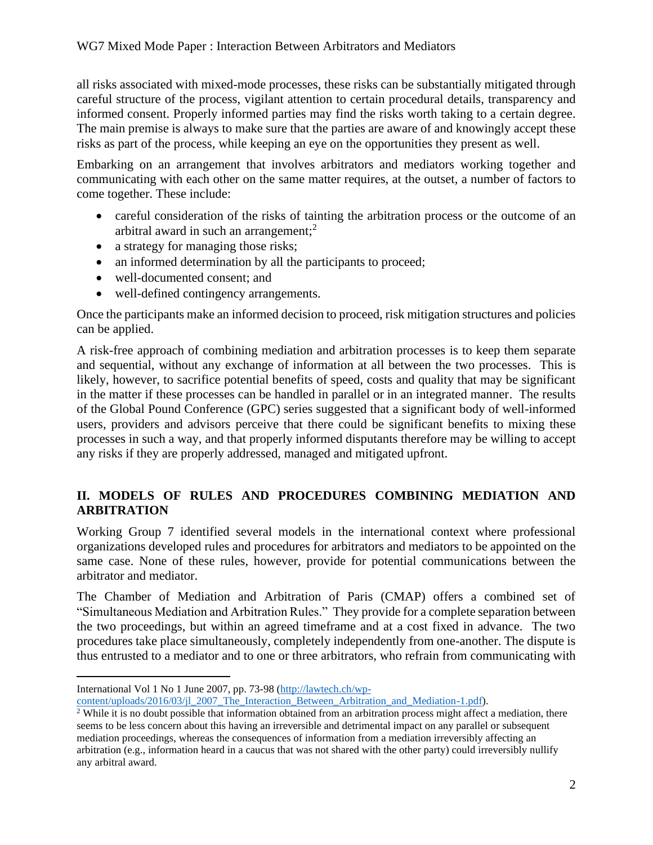all risks associated with mixed-mode processes, these risks can be substantially mitigated through careful structure of the process, vigilant attention to certain procedural details, transparency and informed consent. Properly informed parties may find the risks worth taking to a certain degree. The main premise is always to make sure that the parties are aware of and knowingly accept these risks as part of the process, while keeping an eye on the opportunities they present as well.

Embarking on an arrangement that involves arbitrators and mediators working together and communicating with each other on the same matter requires, at the outset, a number of factors to come together. These include:

- careful consideration of the risks of tainting the arbitration process or the outcome of an arbitral award in such an arrangement;<sup>2</sup>
- a strategy for managing those risks;
- an informed determination by all the participants to proceed;
- well-documented consent; and
- well-defined contingency arrangements.

Once the participants make an informed decision to proceed, risk mitigation structures and policies can be applied.

A risk-free approach of combining mediation and arbitration processes is to keep them separate and sequential, without any exchange of information at all between the two processes. This is likely, however, to sacrifice potential benefits of speed, costs and quality that may be significant in the matter if these processes can be handled in parallel or in an integrated manner. The results of the Global Pound Conference (GPC) series suggested that a significant body of well-informed users, providers and advisors perceive that there could be significant benefits to mixing these processes in such a way, and that properly informed disputants therefore may be willing to accept any risks if they are properly addressed, managed and mitigated upfront.

## **II. MODELS OF RULES AND PROCEDURES COMBINING MEDIATION AND ARBITRATION**

Working Group 7 identified several models in the international context where professional organizations developed rules and procedures for arbitrators and mediators to be appointed on the same case. None of these rules, however, provide for potential communications between the arbitrator and mediator.

The Chamber of Mediation and Arbitration of Paris (CMAP) offers a combined set of "Simultaneous Mediation and Arbitration Rules." They provide for a complete separation between the two proceedings, but within an agreed timeframe and at a cost fixed in advance. The two procedures take place simultaneously, completely independently from one-another. The dispute is thus entrusted to a mediator and to one or three arbitrators, who refrain from communicating with

International Vol 1 No 1 June 2007, pp. 73-98 [\(http://lawtech.ch/wp-](http://lawtech.ch/wp-content/uploads/2016/03/jl_2007_The_Interaction_Between_Arbitration_and_Mediation-1.pdf)

[content/uploads/2016/03/jl\\_2007\\_The\\_Interaction\\_Between\\_Arbitration\\_and\\_Mediation-1.pdf\)](http://lawtech.ch/wp-content/uploads/2016/03/jl_2007_The_Interaction_Between_Arbitration_and_Mediation-1.pdf).

<sup>&</sup>lt;sup>2</sup> While it is no doubt possible that information obtained from an arbitration process might affect a mediation, there seems to be less concern about this having an irreversible and detrimental impact on any parallel or subsequent mediation proceedings, whereas the consequences of information from a mediation irreversibly affecting an arbitration (e.g., information heard in a caucus that was not shared with the other party) could irreversibly nullify any arbitral award.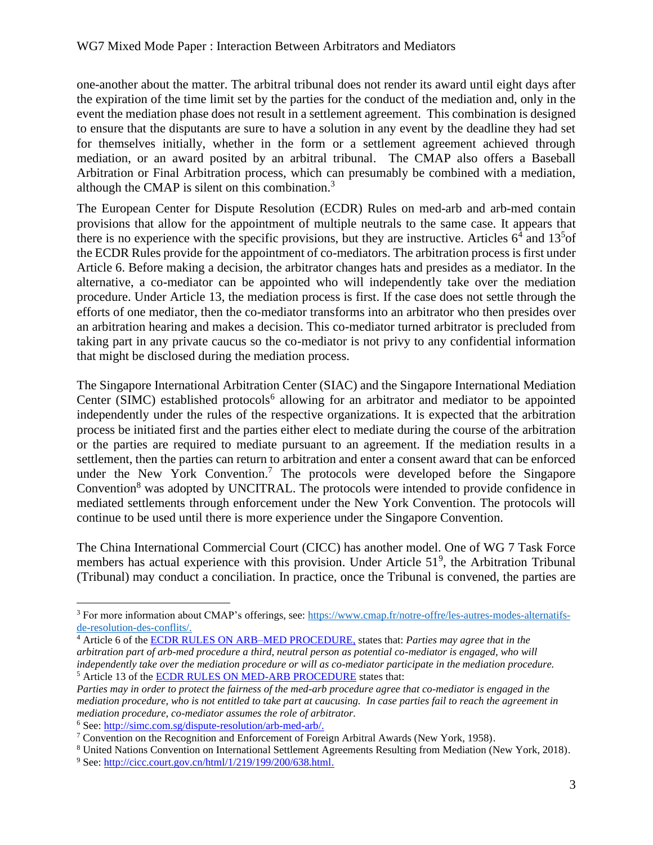one-another about the matter. The arbitral tribunal does not render its award until eight days after the expiration of the time limit set by the parties for the conduct of the mediation and, only in the event the mediation phase does not result in a settlement agreement. This combination is designed to ensure that the disputants are sure to have a solution in any event by the deadline they had set for themselves initially, whether in the form or a settlement agreement achieved through mediation, or an award posited by an arbitral tribunal. The CMAP also offers a Baseball Arbitration or Final Arbitration process, which can presumably be combined with a mediation, although the CMAP is silent on this combination.<sup>3</sup>

The European Center for Dispute Resolution (ECDR) Rules on med-arb and arb-med contain provisions that allow for the appointment of multiple neutrals to the same case. It appears that there is no experience with the specific provisions, but they are instructive. Articles  $6<sup>4</sup>$  and  $13<sup>5</sup>$ of the ECDR Rules provide for the appointment of co-mediators. The arbitration process is first under Article 6. Before making a decision, the arbitrator changes hats and presides as a mediator. In the alternative, a co-mediator can be appointed who will independently take over the mediation procedure. Under Article 13, the mediation process is first. If the case does not settle through the efforts of one mediator, then the co-mediator transforms into an arbitrator who then presides over an arbitration hearing and makes a decision. This co-mediator turned arbitrator is precluded from taking part in any private caucus so the co-mediator is not privy to any confidential information that might be disclosed during the mediation process.

The Singapore International Arbitration Center (SIAC) and the Singapore International Mediation Center (SIMC) established protocols<sup>6</sup> allowing for an arbitrator and mediator to be appointed independently under the rules of the respective organizations. It is expected that the arbitration process be initiated first and the parties either elect to mediate during the course of the arbitration or the parties are required to mediate pursuant to an agreement. If the mediation results in a settlement, then the parties can return to arbitration and enter a consent award that can be enforced under the New York Convention.<sup>7</sup> The protocols were developed before the Singapore Convention<sup>8</sup> was adopted by UNCITRAL. The protocols were intended to provide confidence in mediated settlements through enforcement under the New York Convention. The protocols will continue to be used until there is more experience under the Singapore Convention.

The China International Commercial Court (CICC) has another model. One of WG 7 Task Force members has actual experience with this provision. Under Article  $51<sup>9</sup>$ , the Arbitration Tribunal (Tribunal) may conduct a conciliation. In practice, once the Tribunal is convened, the parties are

<sup>3</sup> For more information about CMAP's offerings, see: [https://www.cmap.fr/notre-offre/les-autres-modes-alternatifs](https://www.cmap.fr/notre-offre/les-autres-modes-alternatifs-de-resolution-des-conflits/)[de-resolution-des-conflits/.](https://www.cmap.fr/notre-offre/les-autres-modes-alternatifs-de-resolution-des-conflits/)

<sup>4</sup> Article 6 of the [ECDR RULES ON ARB–MED PROCEDURE,](http://www.ecdr.si/index.php?id=120) states that: *Parties may agree that in the arbitration part of arb-med procedure a third, neutral person as potential co-mediator is engaged, who will independently take over the mediation procedure or will as co-mediator participate in the mediation procedure.* <sup>5</sup> Article 13 of the [ECDR RULES ON MED-ARB PROCEDURE](http://www.ecdr.si/index.php?id=119) states that:

*Parties may in order to protect the fairness of the med-arb procedure agree that co-mediator is engaged in the mediation procedure, who is not entitled to take part at caucusing. In case parties fail to reach the agreement in mediation procedure, co-mediator assumes the role of arbitrator.* <sup>6</sup> See: [http://simc.com.sg/dispute-resolution/arb-med-arb/.](http://simc.com.sg/dispute-resolution/arb-med-arb/)

<sup>&</sup>lt;sup>7</sup> Convention on the Recognition and Enforcement of Foreign Arbitral Awards (New York, 1958).

<sup>8</sup> United Nations Convention on International Settlement Agreements Resulting from Mediation (New York, 2018).

<sup>9</sup> See: [http://cicc.court.gov.cn/html/1/219/199/200/638.html.](http://cicc.court.gov.cn/html/1/219/199/200/638.html)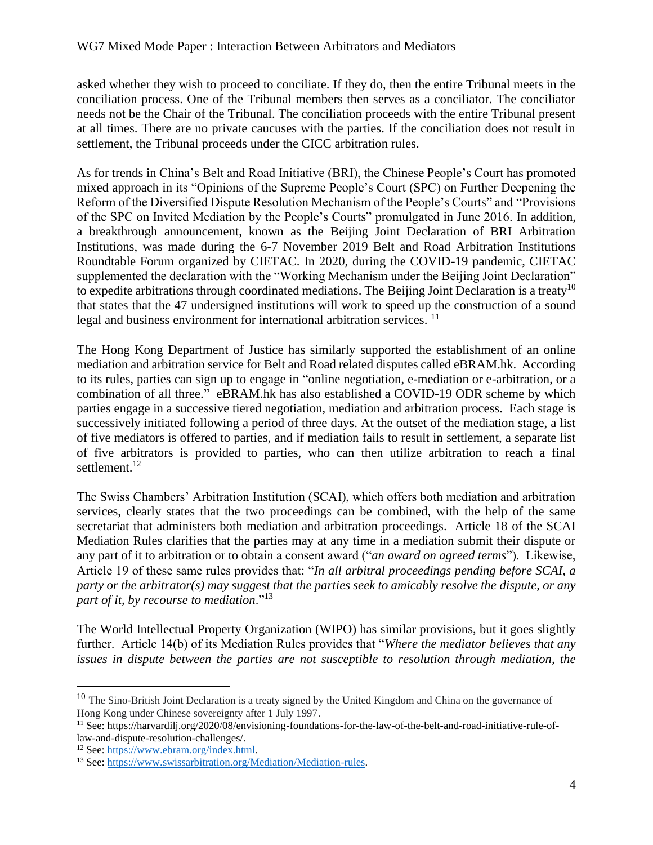asked whether they wish to proceed to conciliate. If they do, then the entire Tribunal meets in the conciliation process. One of the Tribunal members then serves as a conciliator. The conciliator needs not be the Chair of the Tribunal. The conciliation proceeds with the entire Tribunal present at all times. There are no private caucuses with the parties. If the conciliation does not result in settlement, the Tribunal proceeds under the CICC arbitration rules.

As for trends in China's Belt and Road Initiative (BRI), the Chinese People's Court has promoted mixed approach in its "Opinions of the Supreme People's Court (SPC) on Further Deepening the Reform of the Diversified Dispute Resolution Mechanism of the People's Courts" and "Provisions of the SPC on Invited Mediation by the People's Courts" promulgated in June 2016. In addition, a breakthrough announcement, known as the Beijing Joint Declaration of BRI Arbitration Institutions, was made during the 6-7 November 2019 Belt and Road Arbitration Institutions Roundtable Forum organized by CIETAC. In 2020, during the COVID-19 pandemic, CIETAC supplemented the declaration with the "Working Mechanism under the Beijing Joint Declaration" to expedite arbitrations through coordinated mediations. The [Beijing Joint Declaration](http://www.chinalaw.gov.cn/Department/content/2019-11/12/612_3235567.html) is a treaty<sup>10</sup> that states that the 47 undersigned institutions will work to speed up the construction of a sound legal and business environment for international arbitration services.<sup>11</sup>

The Hong Kong Department of Justice has similarly supported the establishment of an online mediation and arbitration service for Belt and Road related disputes called eBRAM.hk. According to its rules, parties can sign up to engage in "online negotiation, e-mediation or e-arbitration, or a combination of all three." eBRAM.hk has also established a COVID-19 ODR scheme by which parties engage in a successive tiered negotiation, mediation and arbitration process. Each stage is successively initiated following a period of three days. At the outset of the mediation stage, a list of five mediators is offered to parties, and if mediation fails to result in settlement, a separate list of five arbitrators is provided to parties, who can then utilize arbitration to reach a final settlement.<sup>12</sup>

The Swiss Chambers' Arbitration Institution (SCAI), which offers both mediation and arbitration services, clearly states that the two proceedings can be combined, with the help of the same secretariat that administers both mediation and arbitration proceedings. Article 18 of the SCAI Mediation Rules clarifies that the parties may at any time in a mediation submit their dispute or any part of it to arbitration or to obtain a consent award ("*an award on agreed terms*"). Likewise, Article 19 of these same rules provides that: "*In all arbitral proceedings pending before SCAI, a party or the arbitrator(s) may suggest that the parties seek to amicably resolve the dispute, or any part of it, by recourse to mediation*."<sup>13</sup>

The World Intellectual Property Organization (WIPO) has similar provisions, but it goes slightly further. Article 14(b) of its Mediation Rules provides that "*Where the mediator believes that any issues in dispute between the parties are not susceptible to resolution through mediation, the* 

<sup>&</sup>lt;sup>10</sup> The Sino-British Joint Declaration is a treaty signed by the United Kingdom and China on the governance of Hong Kong under Chinese sovereignty after 1 July 1997.

<sup>&</sup>lt;sup>11</sup> See: https://harvardilj.org/2020/08/envisioning-foundations-for-the-law-of-the-belt-and-road-initiative-rule-oflaw-and-dispute-resolution-challenges/.

<sup>&</sup>lt;sup>12</sup> See: https://www.ebram.org/index.html.

<sup>13</sup> See[: https://www.swissarbitration.org/Mediation/Mediation-rules.](https://www.swissarbitration.org/Mediation/Mediation-rules)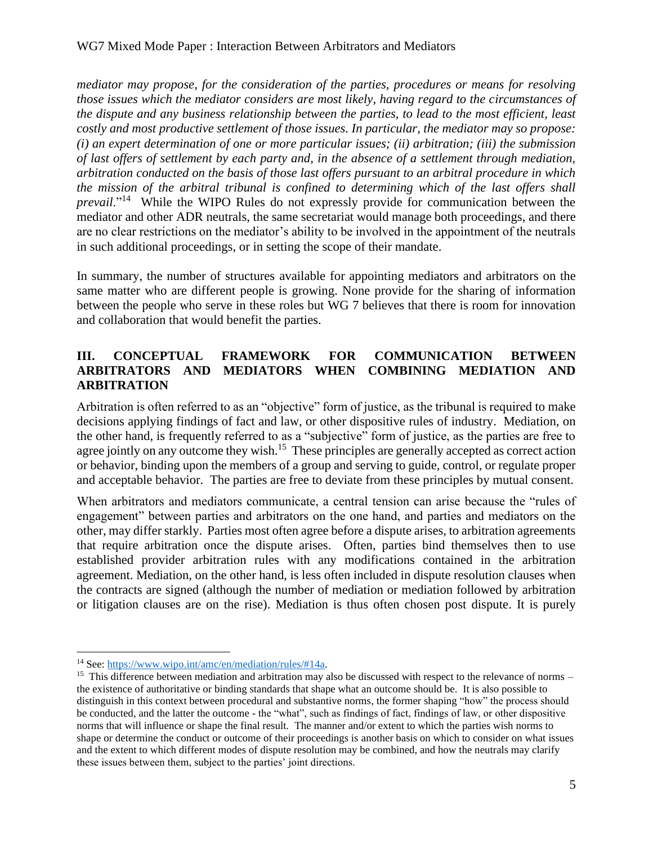*mediator may propose, for the consideration of the parties, procedures or means for resolving those issues which the mediator considers are most likely, having regard to the circumstances of the dispute and any business relationship between the parties, to lead to the most efficient, least costly and most productive settlement of those issues. In particular, the mediator may so propose: (i) an expert determination of one or more particular issues; (ii) arbitration; (iii) the submission of last offers of settlement by each party and, in the absence of a settlement through mediation, arbitration conducted on the basis of those last offers pursuant to an arbitral procedure in which the mission of the arbitral tribunal is confined to determining which of the last offers shall*  prevail."<sup>14</sup> While the WIPO Rules do not expressly provide for communication between the mediator and other ADR neutrals, the same secretariat would manage both proceedings, and there are no clear restrictions on the mediator's ability to be involved in the appointment of the neutrals in such additional proceedings, or in setting the scope of their mandate.

In summary, the number of structures available for appointing mediators and arbitrators on the same matter who are different people is growing. None provide for the sharing of information between the people who serve in these roles but WG 7 believes that there is room for innovation and collaboration that would benefit the parties.

#### **III. CONCEPTUAL FRAMEWORK FOR COMMUNICATION BETWEEN ARBITRATORS AND MEDIATORS WHEN COMBINING MEDIATION AND ARBITRATION**

Arbitration is often referred to as an "objective" form of justice, as the tribunal is required to make decisions applying findings of fact and law, or other dispositive rules of industry. Mediation, on the other hand, is frequently referred to as a "subjective" form of justice, as the parties are free to agree jointly on any outcome they wish.<sup>15</sup> These principles are generally accepted as correct action or behavior, binding upon the members of a group and serving to guide, control, or regulate proper and acceptable behavior. The parties are free to deviate from these principles by mutual consent.

When arbitrators and mediators communicate, a central tension can arise because the "rules of engagement" between parties and arbitrators on the one hand, and parties and mediators on the other, may differ starkly. Parties most often agree before a dispute arises, to arbitration agreements that require arbitration once the dispute arises. Often, parties bind themselves then to use established provider arbitration rules with any modifications contained in the arbitration agreement. Mediation, on the other hand, is less often included in dispute resolution clauses when the contracts are signed (although the number of mediation or mediation followed by arbitration or litigation clauses are on the rise). Mediation is thus often chosen post dispute. It is purely

<sup>14</sup> See[: https://www.wipo.int/amc/en/mediation/rules/#14a.](https://www.wipo.int/amc/en/mediation/rules/#14a)

<sup>&</sup>lt;sup>15</sup> This difference between mediation and arbitration may also be discussed with respect to the relevance of norms – the existence of authoritative or binding standards that shape what an outcome should be. It is also possible to distinguish in this context between procedural and substantive norms, the former shaping "how" the process should be conducted, and the latter the outcome - the "what", such as findings of fact, findings of law, or other dispositive norms that will influence or shape the final result. The manner and/or extent to which the parties wish norms to shape or determine the conduct or outcome of their proceedings is another basis on which to consider on what issues and the extent to which different modes of dispute resolution may be combined, and how the neutrals may clarify these issues between them, subject to the parties' joint directions.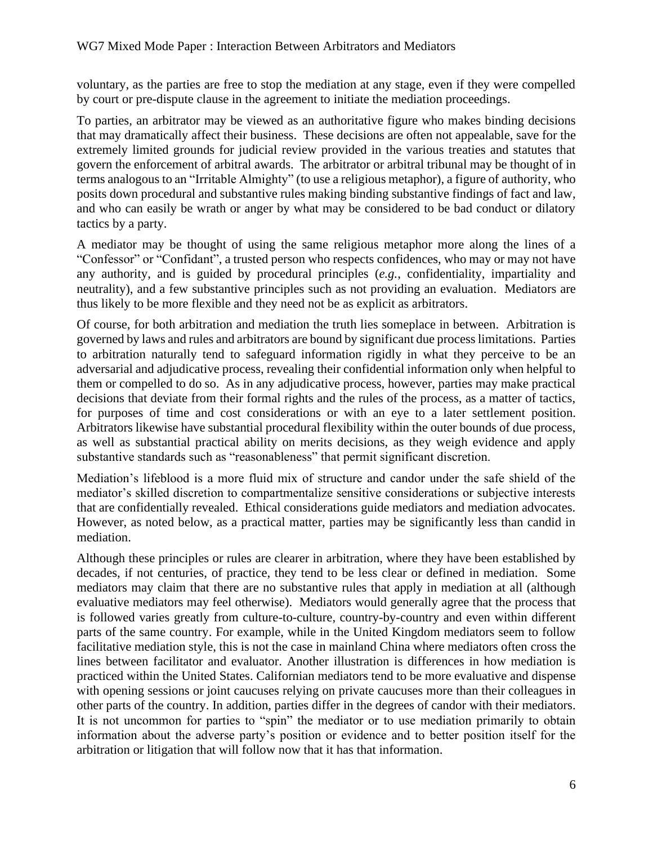voluntary, as the parties are free to stop the mediation at any stage, even if they were compelled by court or pre-dispute clause in the agreement to initiate the mediation proceedings.

To parties, an arbitrator may be viewed as an authoritative figure who makes binding decisions that may dramatically affect their business. These decisions are often not appealable, save for the extremely limited grounds for judicial review provided in the various treaties and statutes that govern the enforcement of arbitral awards. The arbitrator or arbitral tribunal may be thought of in terms analogous to an "Irritable Almighty" (to use a religious metaphor), a figure of authority, who posits down procedural and substantive rules making binding substantive findings of fact and law, and who can easily be wrath or anger by what may be considered to be bad conduct or dilatory tactics by a party.

A mediator may be thought of using the same religious metaphor more along the lines of a "Confessor" or "Confidant", a trusted person who respects confidences, who may or may not have any authority, and is guided by procedural principles (*e.g.*, confidentiality, impartiality and neutrality), and a few substantive principles such as not providing an evaluation. Mediators are thus likely to be more flexible and they need not be as explicit as arbitrators.

Of course, for both arbitration and mediation the truth lies someplace in between. Arbitration is governed by laws and rules and arbitrators are bound by significant due process limitations. Parties to arbitration naturally tend to safeguard information rigidly in what they perceive to be an adversarial and adjudicative process, revealing their confidential information only when helpful to them or compelled to do so. As in any adjudicative process, however, parties may make practical decisions that deviate from their formal rights and the rules of the process, as a matter of tactics, for purposes of time and cost considerations or with an eye to a later settlement position. Arbitrators likewise have substantial procedural flexibility within the outer bounds of due process, as well as substantial practical ability on merits decisions, as they weigh evidence and apply substantive standards such as "reasonableness" that permit significant discretion.

Mediation's lifeblood is a more fluid mix of structure and candor under the safe shield of the mediator's skilled discretion to compartmentalize sensitive considerations or subjective interests that are confidentially revealed. Ethical considerations guide mediators and mediation advocates. However, as noted below, as a practical matter, parties may be significantly less than candid in mediation.

Although these principles or rules are clearer in arbitration, where they have been established by decades, if not centuries, of practice, they tend to be less clear or defined in mediation. Some mediators may claim that there are no substantive rules that apply in mediation at all (although evaluative mediators may feel otherwise). Mediators would generally agree that the process that is followed varies greatly from culture-to-culture, country-by-country and even within different parts of the same country. For example, while in the United Kingdom mediators seem to follow facilitative mediation style, this is not the case in mainland China where mediators often cross the lines between facilitator and evaluator. Another illustration is differences in how mediation is practiced within the United States. Californian mediators tend to be more evaluative and dispense with opening sessions or joint caucuses relying on private caucuses more than their colleagues in other parts of the country. In addition, parties differ in the degrees of candor with their mediators. It is not uncommon for parties to "spin" the mediator or to use mediation primarily to obtain information about the adverse party's position or evidence and to better position itself for the arbitration or litigation that will follow now that it has that information.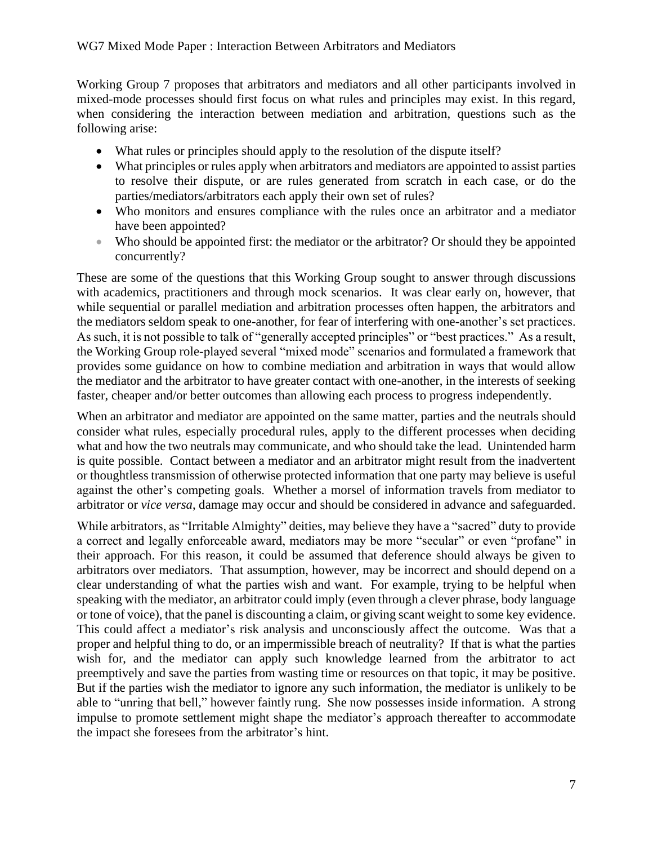Working Group 7 proposes that arbitrators and mediators and all other participants involved in mixed-mode processes should first focus on what rules and principles may exist. In this regard, when considering the interaction between mediation and arbitration, questions such as the following arise:

- What rules or principles should apply to the resolution of the dispute itself?
- What principles or rules apply when arbitrators and mediators are appointed to assist parties to resolve their dispute, or are rules generated from scratch in each case, or do the parties/mediators/arbitrators each apply their own set of rules?
- Who monitors and ensures compliance with the rules once an arbitrator and a mediator have been appointed?
- Who should be appointed first: the mediator or the arbitrator? Or should they be appointed concurrently?

These are some of the questions that this Working Group sought to answer through discussions with academics, practitioners and through mock scenarios. It was clear early on, however, that while sequential or parallel mediation and arbitration processes often happen, the arbitrators and the mediators seldom speak to one-another, for fear of interfering with one-another's set practices. As such, it is not possible to talk of "generally accepted principles" or "best practices." As a result, the Working Group role-played several "mixed mode" scenarios and formulated a framework that provides some guidance on how to combine mediation and arbitration in ways that would allow the mediator and the arbitrator to have greater contact with one-another, in the interests of seeking faster, cheaper and/or better outcomes than allowing each process to progress independently.

When an arbitrator and mediator are appointed on the same matter, parties and the neutrals should consider what rules, especially procedural rules, apply to the different processes when deciding what and how the two neutrals may communicate, and who should take the lead. Unintended harm is quite possible. Contact between a mediator and an arbitrator might result from the inadvertent or thoughtless transmission of otherwise protected information that one party may believe is useful against the other's competing goals. Whether a morsel of information travels from mediator to arbitrator or *vice versa*, damage may occur and should be considered in advance and safeguarded.

While arbitrators, as "Irritable Almighty" deities, may believe they have a "sacred" duty to provide a correct and legally enforceable award, mediators may be more "secular" or even "profane" in their approach. For this reason, it could be assumed that deference should always be given to arbitrators over mediators. That assumption, however, may be incorrect and should depend on a clear understanding of what the parties wish and want. For example, trying to be helpful when speaking with the mediator, an arbitrator could imply (even through a clever phrase, body language or tone of voice), that the panel is discounting a claim, or giving scant weight to some key evidence. This could affect a mediator's risk analysis and unconsciously affect the outcome. Was that a proper and helpful thing to do, or an impermissible breach of neutrality? If that is what the parties wish for, and the mediator can apply such knowledge learned from the arbitrator to act preemptively and save the parties from wasting time or resources on that topic, it may be positive. But if the parties wish the mediator to ignore any such information, the mediator is unlikely to be able to "unring that bell," however faintly rung. She now possesses inside information. A strong impulse to promote settlement might shape the mediator's approach thereafter to accommodate the impact she foresees from the arbitrator's hint.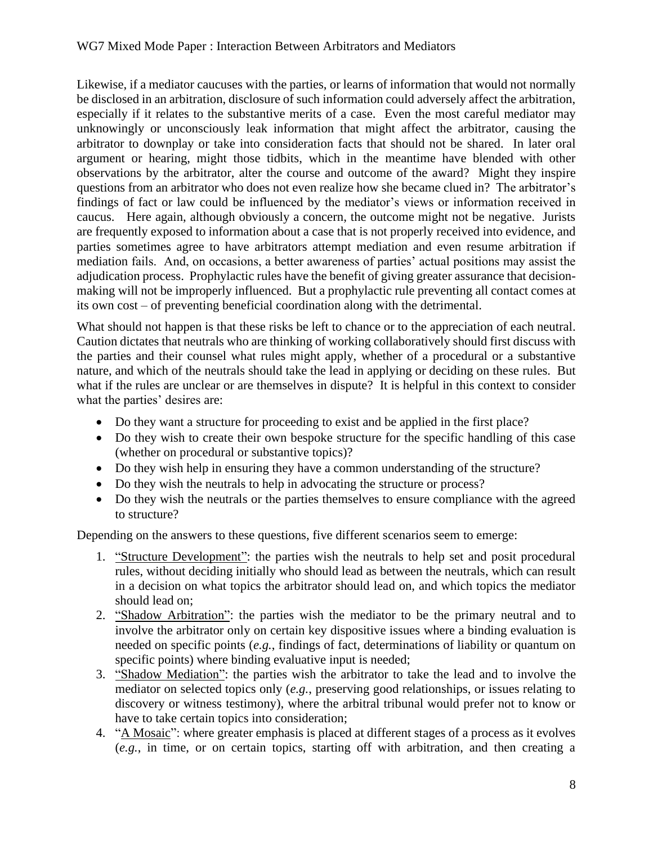Likewise, if a mediator caucuses with the parties, or learns of information that would not normally be disclosed in an arbitration, disclosure of such information could adversely affect the arbitration, especially if it relates to the substantive merits of a case. Even the most careful mediator may unknowingly or unconsciously leak information that might affect the arbitrator, causing the arbitrator to downplay or take into consideration facts that should not be shared. In later oral argument or hearing, might those tidbits, which in the meantime have blended with other observations by the arbitrator, alter the course and outcome of the award? Might they inspire questions from an arbitrator who does not even realize how she became clued in? The arbitrator's findings of fact or law could be influenced by the mediator's views or information received in caucus. Here again, although obviously a concern, the outcome might not be negative. Jurists are frequently exposed to information about a case that is not properly received into evidence, and parties sometimes agree to have arbitrators attempt mediation and even resume arbitration if mediation fails. And, on occasions, a better awareness of parties' actual positions may assist the adjudication process. Prophylactic rules have the benefit of giving greater assurance that decisionmaking will not be improperly influenced. But a prophylactic rule preventing all contact comes at its own cost – of preventing beneficial coordination along with the detrimental.

What should not happen is that these risks be left to chance or to the appreciation of each neutral. Caution dictates that neutrals who are thinking of working collaboratively should first discuss with the parties and their counsel what rules might apply, whether of a procedural or a substantive nature, and which of the neutrals should take the lead in applying or deciding on these rules. But what if the rules are unclear or are themselves in dispute? It is helpful in this context to consider what the parties' desires are:

- Do they want a structure for proceeding to exist and be applied in the first place?
- Do they wish to create their own bespoke structure for the specific handling of this case (whether on procedural or substantive topics)?
- Do they wish help in ensuring they have a common understanding of the structure?
- Do they wish the neutrals to help in advocating the structure or process?
- Do they wish the neutrals or the parties themselves to ensure compliance with the agreed to structure?

Depending on the answers to these questions, five different scenarios seem to emerge:

- 1. "Structure Development": the parties wish the neutrals to help set and posit procedural rules, without deciding initially who should lead as between the neutrals, which can result in a decision on what topics the arbitrator should lead on, and which topics the mediator should lead on;
- 2. "Shadow Arbitration": the parties wish the mediator to be the primary neutral and to involve the arbitrator only on certain key dispositive issues where a binding evaluation is needed on specific points (*e.g.*, findings of fact, determinations of liability or quantum on specific points) where binding evaluative input is needed;
- 3. "Shadow Mediation": the parties wish the arbitrator to take the lead and to involve the mediator on selected topics only (*e.g.*, preserving good relationships, or issues relating to discovery or witness testimony), where the arbitral tribunal would prefer not to know or have to take certain topics into consideration;
- 4. "A Mosaic": where greater emphasis is placed at different stages of a process as it evolves (*e.g.*, in time, or on certain topics, starting off with arbitration, and then creating a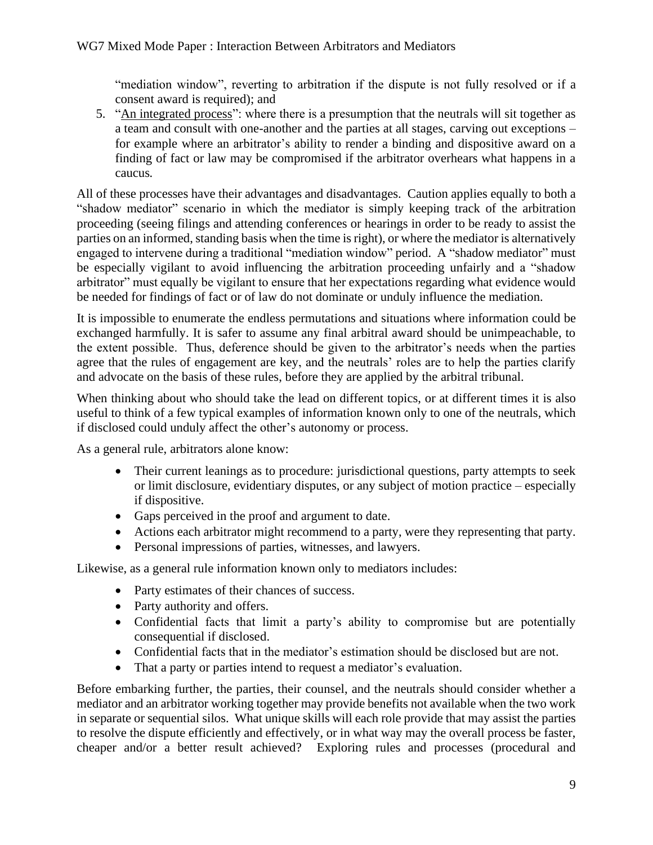"mediation window", reverting to arbitration if the dispute is not fully resolved or if a consent award is required); and

5. "An integrated process": where there is a presumption that the neutrals will sit together as a team and consult with one-another and the parties at all stages, carving out exceptions – for example where an arbitrator's ability to render a binding and dispositive award on a finding of fact or law may be compromised if the arbitrator overhears what happens in a caucus*.*

All of these processes have their advantages and disadvantages. Caution applies equally to both a "shadow mediator" scenario in which the mediator is simply keeping track of the arbitration proceeding (seeing filings and attending conferences or hearings in order to be ready to assist the parties on an informed, standing basis when the time is right), or where the mediator is alternatively engaged to intervene during a traditional "mediation window" period. A "shadow mediator" must be especially vigilant to avoid influencing the arbitration proceeding unfairly and a "shadow arbitrator" must equally be vigilant to ensure that her expectations regarding what evidence would be needed for findings of fact or of law do not dominate or unduly influence the mediation.

It is impossible to enumerate the endless permutations and situations where information could be exchanged harmfully. It is safer to assume any final arbitral award should be unimpeachable, to the extent possible. Thus, deference should be given to the arbitrator's needs when the parties agree that the rules of engagement are key, and the neutrals' roles are to help the parties clarify and advocate on the basis of these rules, before they are applied by the arbitral tribunal.

When thinking about who should take the lead on different topics, or at different times it is also useful to think of a few typical examples of information known only to one of the neutrals, which if disclosed could unduly affect the other's autonomy or process.

As a general rule, arbitrators alone know:

- Their current leanings as to procedure: jurisdictional questions, party attempts to seek or limit disclosure, evidentiary disputes, or any subject of motion practice – especially if dispositive.
- Gaps perceived in the proof and argument to date.
- Actions each arbitrator might recommend to a party, were they representing that party.
- Personal impressions of parties, witnesses, and lawyers.

Likewise, as a general rule information known only to mediators includes:

- Party estimates of their chances of success.
- Party authority and offers.
- Confidential facts that limit a party's ability to compromise but are potentially consequential if disclosed.
- Confidential facts that in the mediator's estimation should be disclosed but are not.
- That a party or parties intend to request a mediator's evaluation.

Before embarking further, the parties, their counsel, and the neutrals should consider whether a mediator and an arbitrator working together may provide benefits not available when the two work in separate or sequential silos. What unique skills will each role provide that may assist the parties to resolve the dispute efficiently and effectively, or in what way may the overall process be faster, cheaper and/or a better result achieved? Exploring rules and processes (procedural and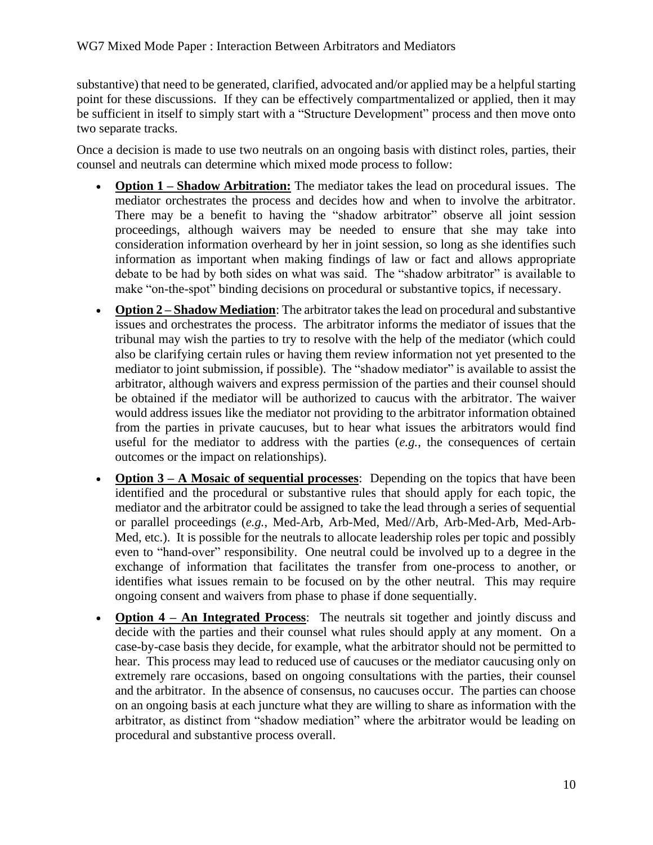substantive) that need to be generated, clarified, advocated and/or applied may be a helpful starting point for these discussions. If they can be effectively compartmentalized or applied, then it may be sufficient in itself to simply start with a "Structure Development" process and then move onto two separate tracks.

Once a decision is made to use two neutrals on an ongoing basis with distinct roles, parties, their counsel and neutrals can determine which mixed mode process to follow:

- **Option 1 – Shadow Arbitration:** The mediator takes the lead on procedural issues. The mediator orchestrates the process and decides how and when to involve the arbitrator. There may be a benefit to having the "shadow arbitrator" observe all joint session proceedings, although waivers may be needed to ensure that she may take into consideration information overheard by her in joint session, so long as she identifies such information as important when making findings of law or fact and allows appropriate debate to be had by both sides on what was said. The "shadow arbitrator" is available to make "on-the-spot" binding decisions on procedural or substantive topics, if necessary.
- **Option 2 Shadow Mediation**: The arbitrator takes the lead on procedural and substantive issues and orchestrates the process. The arbitrator informs the mediator of issues that the tribunal may wish the parties to try to resolve with the help of the mediator (which could also be clarifying certain rules or having them review information not yet presented to the mediator to joint submission, if possible). The "shadow mediator" is available to assist the arbitrator, although waivers and express permission of the parties and their counsel should be obtained if the mediator will be authorized to caucus with the arbitrator. The waiver would address issues like the mediator not providing to the arbitrator information obtained from the parties in private caucuses, but to hear what issues the arbitrators would find useful for the mediator to address with the parties (*e.g.*, the consequences of certain outcomes or the impact on relationships).
- **Option 3 A Mosaic of sequential processes:** Depending on the topics that have been identified and the procedural or substantive rules that should apply for each topic, the mediator and the arbitrator could be assigned to take the lead through a series of sequential or parallel proceedings (*e.g.*, Med-Arb, Arb-Med, Med//Arb, Arb-Med-Arb, Med-Arb-Med, etc.). It is possible for the neutrals to allocate leadership roles per topic and possibly even to "hand-over" responsibility. One neutral could be involved up to a degree in the exchange of information that facilitates the transfer from one-process to another, or identifies what issues remain to be focused on by the other neutral. This may require ongoing consent and waivers from phase to phase if done sequentially.
- **Option 4 – An Integrated Process**: The neutrals sit together and jointly discuss and decide with the parties and their counsel what rules should apply at any moment. On a case-by-case basis they decide, for example, what the arbitrator should not be permitted to hear. This process may lead to reduced use of caucuses or the mediator caucusing only on extremely rare occasions, based on ongoing consultations with the parties, their counsel and the arbitrator. In the absence of consensus, no caucuses occur. The parties can choose on an ongoing basis at each juncture what they are willing to share as information with the arbitrator, as distinct from "shadow mediation" where the arbitrator would be leading on procedural and substantive process overall.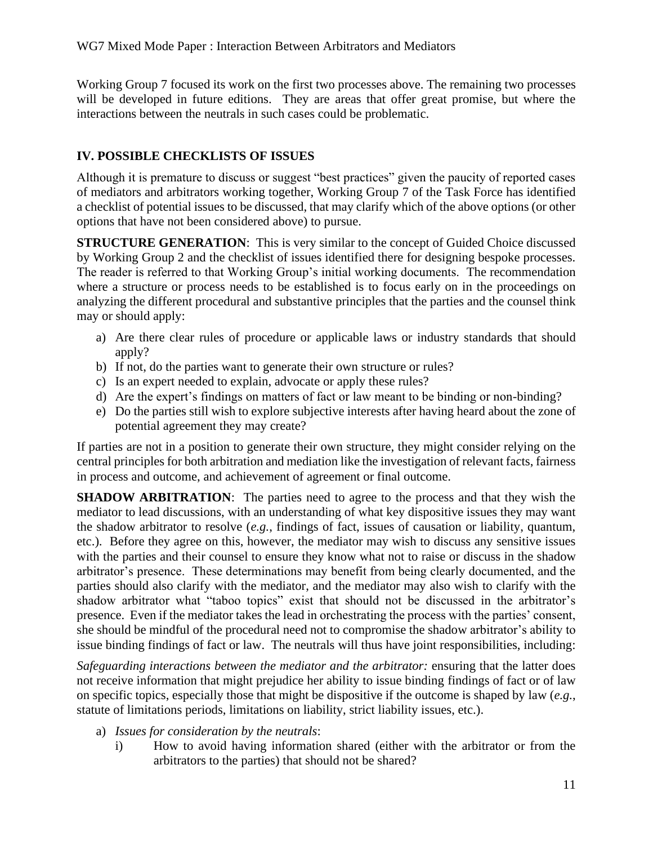Working Group 7 focused its work on the first two processes above. The remaining two processes will be developed in future editions. They are areas that offer great promise, but where the interactions between the neutrals in such cases could be problematic.

#### **IV. POSSIBLE CHECKLISTS OF ISSUES**

Although it is premature to discuss or suggest "best practices" given the paucity of reported cases of mediators and arbitrators working together, Working Group 7 of the Task Force has identified a checklist of potential issues to be discussed, that may clarify which of the above options (or other options that have not been considered above) to pursue.

**STRUCTURE GENERATION:** This is very similar to the concept of Guided Choice discussed by Working Group 2 and the checklist of issues identified there for designing bespoke processes. The reader is referred to that Working Group's initial working documents. The recommendation where a structure or process needs to be established is to focus early on in the proceedings on analyzing the different procedural and substantive principles that the parties and the counsel think may or should apply:

- a) Are there clear rules of procedure or applicable laws or industry standards that should apply?
- b) If not, do the parties want to generate their own structure or rules?
- c) Is an expert needed to explain, advocate or apply these rules?
- d) Are the expert's findings on matters of fact or law meant to be binding or non-binding?
- e) Do the parties still wish to explore subjective interests after having heard about the zone of potential agreement they may create?

If parties are not in a position to generate their own structure, they might consider relying on the central principles for both arbitration and mediation like the investigation of relevant facts, fairness in process and outcome, and achievement of agreement or final outcome.

**SHADOW ARBITRATION:** The parties need to agree to the process and that they wish the mediator to lead discussions, with an understanding of what key dispositive issues they may want the shadow arbitrator to resolve (*e.g.*, findings of fact, issues of causation or liability, quantum, etc.). Before they agree on this, however, the mediator may wish to discuss any sensitive issues with the parties and their counsel to ensure they know what not to raise or discuss in the shadow arbitrator's presence. These determinations may benefit from being clearly documented, and the parties should also clarify with the mediator, and the mediator may also wish to clarify with the shadow arbitrator what "taboo topics" exist that should not be discussed in the arbitrator's presence. Even if the mediator takes the lead in orchestrating the process with the parties' consent, she should be mindful of the procedural need not to compromise the shadow arbitrator's ability to issue binding findings of fact or law. The neutrals will thus have joint responsibilities, including:

*Safeguarding interactions between the mediator and the arbitrator:* ensuring that the latter does not receive information that might prejudice her ability to issue binding findings of fact or of law on specific topics, especially those that might be dispositive if the outcome is shaped by law (*e.g.*, statute of limitations periods, limitations on liability, strict liability issues, etc.).

- a) *Issues for consideration by the neutrals*:
	- i) How to avoid having information shared (either with the arbitrator or from the arbitrators to the parties) that should not be shared?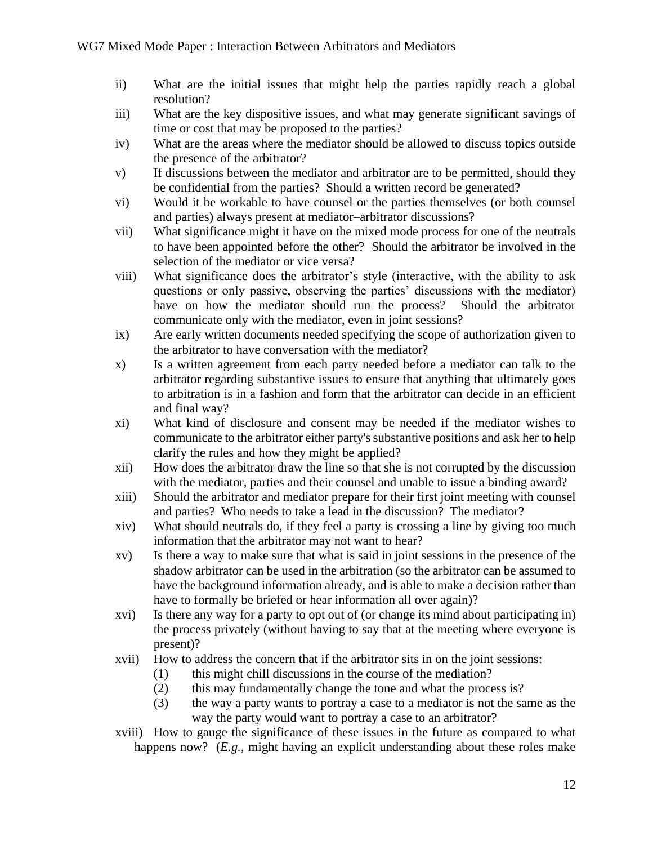- ii) What are the initial issues that might help the parties rapidly reach a global resolution?
- iii) What are the key dispositive issues, and what may generate significant savings of time or cost that may be proposed to the parties?
- iv) What are the areas where the mediator should be allowed to discuss topics outside the presence of the arbitrator?
- v) If discussions between the mediator and arbitrator are to be permitted, should they be confidential from the parties? Should a written record be generated?
- vi) Would it be workable to have counsel or the parties themselves (or both counsel and parties) always present at mediator–arbitrator discussions?
- vii) What significance might it have on the mixed mode process for one of the neutrals to have been appointed before the other? Should the arbitrator be involved in the selection of the mediator or vice versa?
- viii) What significance does the arbitrator's style (interactive, with the ability to ask questions or only passive, observing the parties' discussions with the mediator) have on how the mediator should run the process? Should the arbitrator communicate only with the mediator, even in joint sessions?
- ix) Are early written documents needed specifying the scope of authorization given to the arbitrator to have conversation with the mediator?
- x) Is a written agreement from each party needed before a mediator can talk to the arbitrator regarding substantive issues to ensure that anything that ultimately goes to arbitration is in a fashion and form that the arbitrator can decide in an efficient and final way?
- xi) What kind of disclosure and consent may be needed if the mediator wishes to communicate to the arbitrator either party's substantive positions and ask her to help clarify the rules and how they might be applied?
- xii) How does the arbitrator draw the line so that she is not corrupted by the discussion with the mediator, parties and their counsel and unable to issue a binding award?
- xiii) Should the arbitrator and mediator prepare for their first joint meeting with counsel and parties? Who needs to take a lead in the discussion? The mediator?
- xiv) What should neutrals do, if they feel a party is crossing a line by giving too much information that the arbitrator may not want to hear?
- xv) Is there a way to make sure that what is said in joint sessions in the presence of the shadow arbitrator can be used in the arbitration (so the arbitrator can be assumed to have the background information already, and is able to make a decision rather than have to formally be briefed or hear information all over again)?
- xvi) Is there any way for a party to opt out of (or change its mind about participating in) the process privately (without having to say that at the meeting where everyone is present)?
- xvii) How to address the concern that if the arbitrator sits in on the joint sessions:
	- (1) this might chill discussions in the course of the mediation?
	- (2) this may fundamentally change the tone and what the process is?
	- (3) the way a party wants to portray a case to a mediator is not the same as the way the party would want to portray a case to an arbitrator?
- xviii) How to gauge the significance of these issues in the future as compared to what happens now? (*E.g.*, might having an explicit understanding about these roles make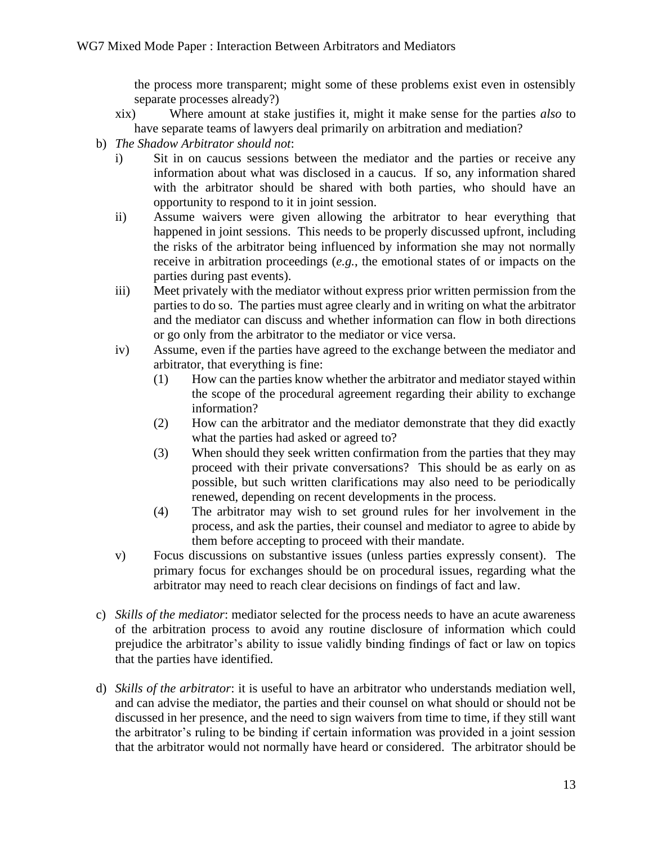the process more transparent; might some of these problems exist even in ostensibly separate processes already?)

- xix) Where amount at stake justifies it, might it make sense for the parties *also* to have separate teams of lawyers deal primarily on arbitration and mediation?
- b) *The Shadow Arbitrator should not*:
	- i) Sit in on caucus sessions between the mediator and the parties or receive any information about what was disclosed in a caucus. If so, any information shared with the arbitrator should be shared with both parties, who should have an opportunity to respond to it in joint session.
	- ii) Assume waivers were given allowing the arbitrator to hear everything that happened in joint sessions. This needs to be properly discussed upfront, including the risks of the arbitrator being influenced by information she may not normally receive in arbitration proceedings (*e.g.*, the emotional states of or impacts on the parties during past events).
	- iii) Meet privately with the mediator without express prior written permission from the parties to do so. The parties must agree clearly and in writing on what the arbitrator and the mediator can discuss and whether information can flow in both directions or go only from the arbitrator to the mediator or vice versa.
	- iv) Assume, even if the parties have agreed to the exchange between the mediator and arbitrator, that everything is fine:
		- (1) How can the parties know whether the arbitrator and mediator stayed within the scope of the procedural agreement regarding their ability to exchange information?
		- (2) How can the arbitrator and the mediator demonstrate that they did exactly what the parties had asked or agreed to?
		- (3) When should they seek written confirmation from the parties that they may proceed with their private conversations? This should be as early on as possible, but such written clarifications may also need to be periodically renewed, depending on recent developments in the process.
		- (4) The arbitrator may wish to set ground rules for her involvement in the process, and ask the parties, their counsel and mediator to agree to abide by them before accepting to proceed with their mandate.
	- v) Focus discussions on substantive issues (unless parties expressly consent). The primary focus for exchanges should be on procedural issues, regarding what the arbitrator may need to reach clear decisions on findings of fact and law.
- c) *Skills of the mediator*: mediator selected for the process needs to have an acute awareness of the arbitration process to avoid any routine disclosure of information which could prejudice the arbitrator's ability to issue validly binding findings of fact or law on topics that the parties have identified.
- d) *Skills of the arbitrator*: it is useful to have an arbitrator who understands mediation well, and can advise the mediator, the parties and their counsel on what should or should not be discussed in her presence, and the need to sign waivers from time to time, if they still want the arbitrator's ruling to be binding if certain information was provided in a joint session that the arbitrator would not normally have heard or considered. The arbitrator should be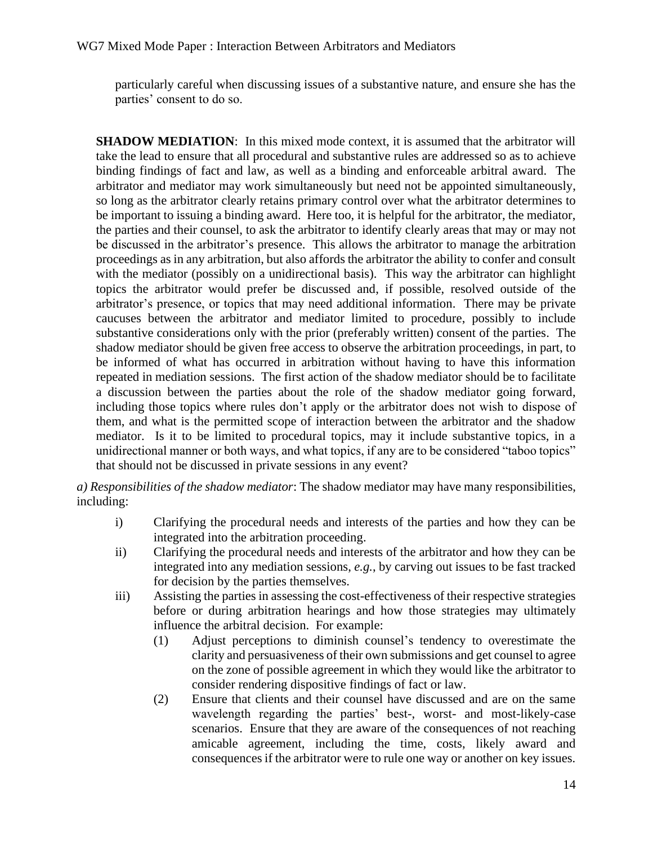particularly careful when discussing issues of a substantive nature, and ensure she has the parties' consent to do so.

**SHADOW MEDIATION:** In this mixed mode context, it is assumed that the arbitrator will take the lead to ensure that all procedural and substantive rules are addressed so as to achieve binding findings of fact and law, as well as a binding and enforceable arbitral award. The arbitrator and mediator may work simultaneously but need not be appointed simultaneously, so long as the arbitrator clearly retains primary control over what the arbitrator determines to be important to issuing a binding award. Here too, it is helpful for the arbitrator, the mediator, the parties and their counsel, to ask the arbitrator to identify clearly areas that may or may not be discussed in the arbitrator's presence. This allows the arbitrator to manage the arbitration proceedings as in any arbitration, but also affords the arbitrator the ability to confer and consult with the mediator (possibly on a unidirectional basis). This way the arbitrator can highlight topics the arbitrator would prefer be discussed and, if possible, resolved outside of the arbitrator's presence, or topics that may need additional information. There may be private caucuses between the arbitrator and mediator limited to procedure, possibly to include substantive considerations only with the prior (preferably written) consent of the parties. The shadow mediator should be given free access to observe the arbitration proceedings, in part, to be informed of what has occurred in arbitration without having to have this information repeated in mediation sessions. The first action of the shadow mediator should be to facilitate a discussion between the parties about the role of the shadow mediator going forward, including those topics where rules don't apply or the arbitrator does not wish to dispose of them, and what is the permitted scope of interaction between the arbitrator and the shadow mediator. Is it to be limited to procedural topics, may it include substantive topics, in a unidirectional manner or both ways, and what topics, if any are to be considered "taboo topics" that should not be discussed in private sessions in any event?

*a) Responsibilities of the shadow mediator*: The shadow mediator may have many responsibilities, including:

- i) Clarifying the procedural needs and interests of the parties and how they can be integrated into the arbitration proceeding.
- ii) Clarifying the procedural needs and interests of the arbitrator and how they can be integrated into any mediation sessions, *e.g.*, by carving out issues to be fast tracked for decision by the parties themselves.
- iii) Assisting the parties in assessing the cost-effectiveness of their respective strategies before or during arbitration hearings and how those strategies may ultimately influence the arbitral decision. For example:
	- (1) Adjust perceptions to diminish counsel's tendency to overestimate the clarity and persuasiveness of their own submissions and get counsel to agree on the zone of possible agreement in which they would like the arbitrator to consider rendering dispositive findings of fact or law.
	- (2) Ensure that clients and their counsel have discussed and are on the same wavelength regarding the parties' best-, worst- and most-likely-case scenarios. Ensure that they are aware of the consequences of not reaching amicable agreement, including the time, costs, likely award and consequences if the arbitrator were to rule one way or another on key issues.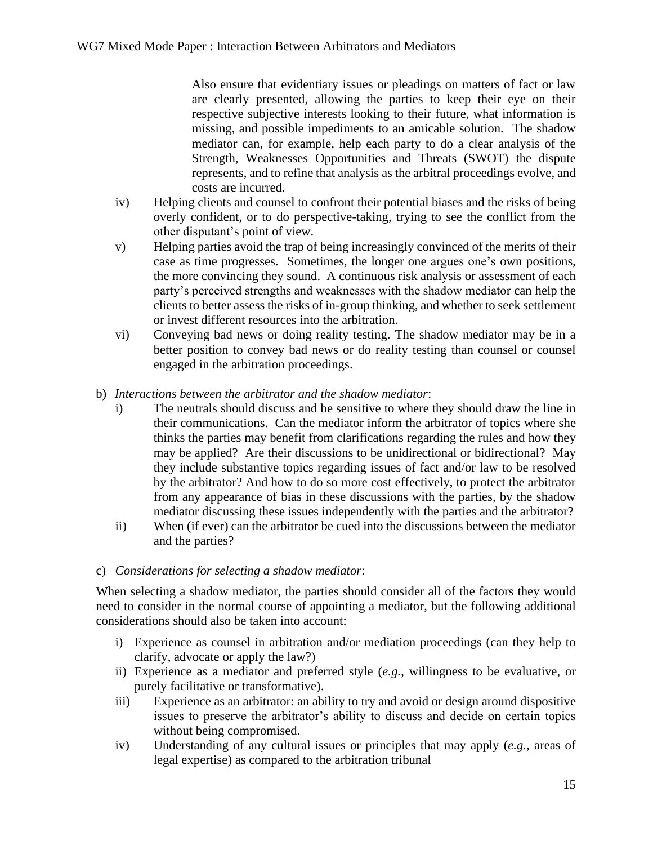Also ensure that evidentiary issues or pleadings on matters of fact or law are clearly presented, allowing the parties to keep their eye on their respective subjective interests looking to their future, what information is missing, and possible impediments to an amicable solution. The shadow mediator can, for example, help each party to do a clear analysis of the Strength, Weaknesses Opportunities and Threats (SWOT) the dispute represents, and to refine that analysis as the arbitral proceedings evolve, and costs are incurred.

- iv) Helping clients and counsel to confront their potential biases and the risks of being overly confident, or to do perspective-taking, trying to see the conflict from the other disputant's point of view.
- v) Helping parties avoid the trap of being increasingly convinced of the merits of their case as time progresses. Sometimes, the longer one argues one's own positions, the more convincing they sound. A continuous risk analysis or assessment of each party's perceived strengths and weaknesses with the shadow mediator can help the clients to better assess the risks of in-group thinking, and whether to seek settlement or invest different resources into the arbitration.
- vi) Conveying bad news or doing reality testing. The shadow mediator may be in a better position to convey bad news or do reality testing than counsel or counsel engaged in the arbitration proceedings.
- b) *Interactions between the arbitrator and the shadow mediator*:
	- i) The neutrals should discuss and be sensitive to where they should draw the line in their communications. Can the mediator inform the arbitrator of topics where she thinks the parties may benefit from clarifications regarding the rules and how they may be applied? Are their discussions to be unidirectional or bidirectional? May they include substantive topics regarding issues of fact and/or law to be resolved by the arbitrator? And how to do so more cost effectively, to protect the arbitrator from any appearance of bias in these discussions with the parties, by the shadow mediator discussing these issues independently with the parties and the arbitrator?
	- ii) When (if ever) can the arbitrator be cued into the discussions between the mediator and the parties?

#### c) *Considerations for selecting a shadow mediator*:

When selecting a shadow mediator, the parties should consider all of the factors they would need to consider in the normal course of appointing a mediator, but the following additional considerations should also be taken into account:

- i) Experience as counsel in arbitration and/or mediation proceedings (can they help to clarify, advocate or apply the law?)
- ii) Experience as a mediator and preferred style (*e.g.*, willingness to be evaluative, or purely facilitative or transformative).
- iii) Experience as an arbitrator: an ability to try and avoid or design around dispositive issues to preserve the arbitrator's ability to discuss and decide on certain topics without being compromised.
- iv) Understanding of any cultural issues or principles that may apply (*e.g.*, areas of legal expertise) as compared to the arbitration tribunal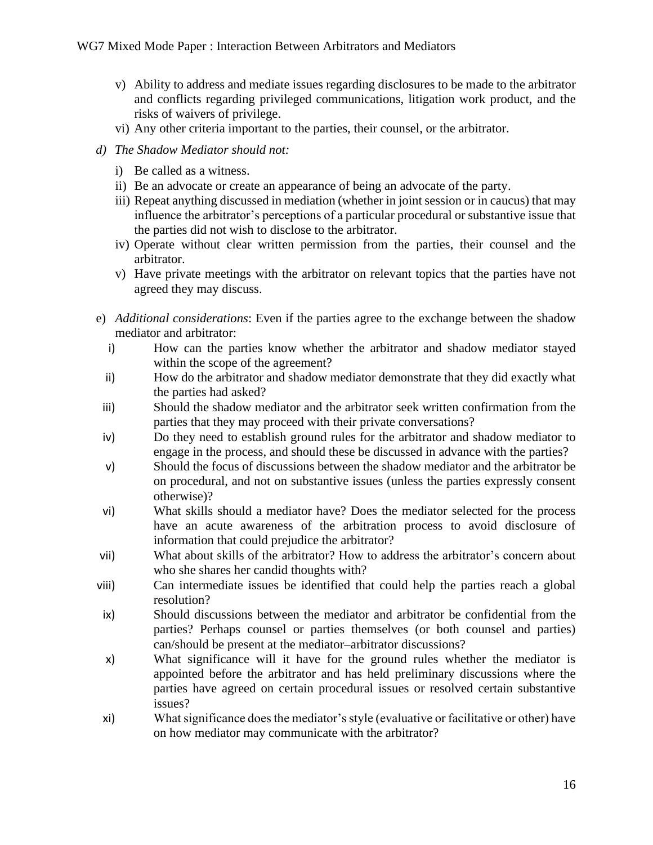- v) Ability to address and mediate issues regarding disclosures to be made to the arbitrator and conflicts regarding privileged communications, litigation work product, and the risks of waivers of privilege.
- vi) Any other criteria important to the parties, their counsel, or the arbitrator.
- *d) The Shadow Mediator should not:*
	- i) Be called as a witness.
	- ii) Be an advocate or create an appearance of being an advocate of the party.
	- iii) Repeat anything discussed in mediation (whether in joint session or in caucus) that may influence the arbitrator's perceptions of a particular procedural or substantive issue that the parties did not wish to disclose to the arbitrator.
	- iv) Operate without clear written permission from the parties, their counsel and the arbitrator.
	- v) Have private meetings with the arbitrator on relevant topics that the parties have not agreed they may discuss.
- e) *Additional considerations*: Even if the parties agree to the exchange between the shadow mediator and arbitrator:
	- i) How can the parties know whether the arbitrator and shadow mediator stayed within the scope of the agreement?
	- ii) How do the arbitrator and shadow mediator demonstrate that they did exactly what the parties had asked?
- iii) Should the shadow mediator and the arbitrator seek written confirmation from the parties that they may proceed with their private conversations?
- iv) Do they need to establish ground rules for the arbitrator and shadow mediator to engage in the process, and should these be discussed in advance with the parties?
- v) Should the focus of discussions between the shadow mediator and the arbitrator be on procedural, and not on substantive issues (unless the parties expressly consent otherwise)?
- vi) What skills should a mediator have? Does the mediator selected for the process have an acute awareness of the arbitration process to avoid disclosure of information that could prejudice the arbitrator?
- vii) What about skills of the arbitrator? How to address the arbitrator's concern about who she shares her candid thoughts with?
- viii) Can intermediate issues be identified that could help the parties reach a global resolution?
- ix) Should discussions between the mediator and arbitrator be confidential from the parties? Perhaps counsel or parties themselves (or both counsel and parties) can/should be present at the mediator–arbitrator discussions?
- x) What significance will it have for the ground rules whether the mediator is appointed before the arbitrator and has held preliminary discussions where the parties have agreed on certain procedural issues or resolved certain substantive issues?
- xi) What significance does the mediator's style (evaluative or facilitative or other) have on how mediator may communicate with the arbitrator?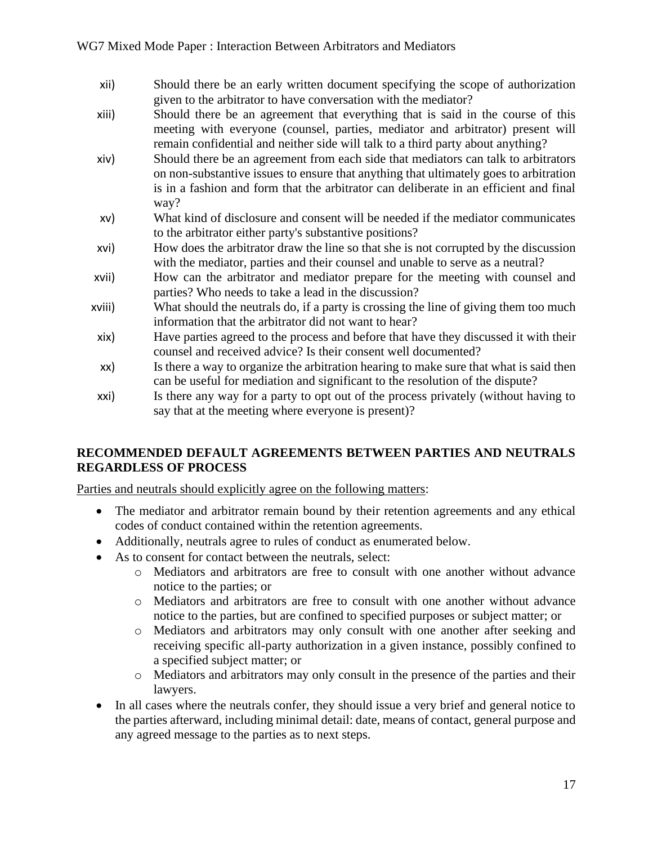- xii) Should there be an early written document specifying the scope of authorization given to the arbitrator to have conversation with the mediator?
- xiii) Should there be an agreement that everything that is said in the course of this meeting with everyone (counsel, parties, mediator and arbitrator) present will remain confidential and neither side will talk to a third party about anything?
- xiv) Should there be an agreement from each side that mediators can talk to arbitrators on non-substantive issues to ensure that anything that ultimately goes to arbitration is in a fashion and form that the arbitrator can deliberate in an efficient and final way?
- xv) What kind of disclosure and consent will be needed if the mediator communicates to the arbitrator either party's substantive positions?
- xvi) How does the arbitrator draw the line so that she is not corrupted by the discussion with the mediator, parties and their counsel and unable to serve as a neutral?
- xvii) How can the arbitrator and mediator prepare for the meeting with counsel and parties? Who needs to take a lead in the discussion?
- xviii) What should the neutrals do, if a party is crossing the line of giving them too much information that the arbitrator did not want to hear?
- xix) Have parties agreed to the process and before that have they discussed it with their counsel and received advice? Is their consent well documented?
- xx) Is there a way to organize the arbitration hearing to make sure that what is said then can be useful for mediation and significant to the resolution of the dispute?
- xxi) Is there any way for a party to opt out of the process privately (without having to say that at the meeting where everyone is present)?

#### **RECOMMENDED DEFAULT AGREEMENTS BETWEEN PARTIES AND NEUTRALS REGARDLESS OF PROCESS**

Parties and neutrals should explicitly agree on the following matters:

- The mediator and arbitrator remain bound by their retention agreements and any ethical codes of conduct contained within the retention agreements.
- Additionally, neutrals agree to rules of conduct as enumerated below.
- As to consent for contact between the neutrals, select:
	- o Mediators and arbitrators are free to consult with one another without advance notice to the parties; or
	- o Mediators and arbitrators are free to consult with one another without advance notice to the parties, but are confined to specified purposes or subject matter; or
	- o Mediators and arbitrators may only consult with one another after seeking and receiving specific all-party authorization in a given instance, possibly confined to a specified subject matter; or
	- o Mediators and arbitrators may only consult in the presence of the parties and their lawyers.
- In all cases where the neutrals confer, they should issue a very brief and general notice to the parties afterward, including minimal detail: date, means of contact, general purpose and any agreed message to the parties as to next steps.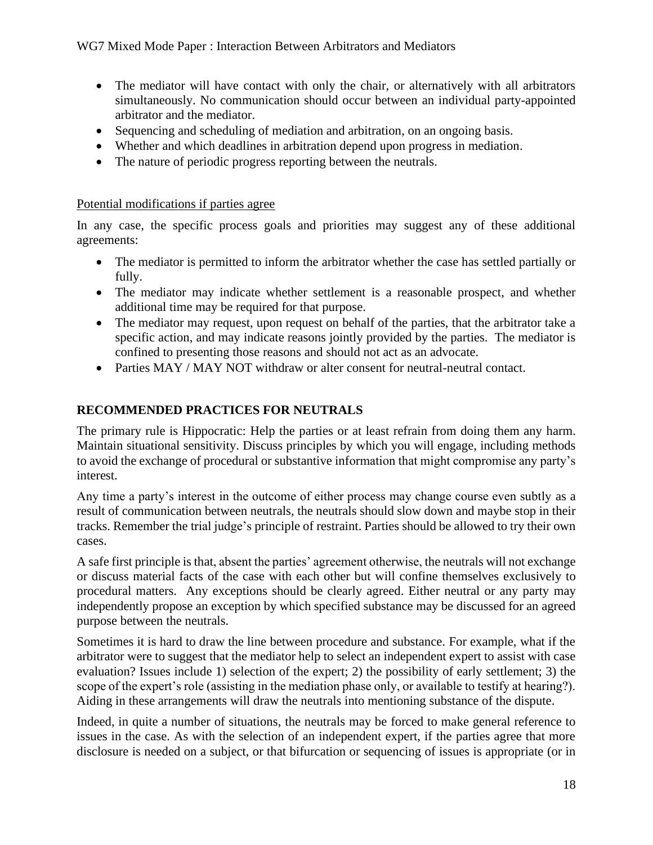- The mediator will have contact with only the chair, or alternatively with all arbitrators simultaneously. No communication should occur between an individual party-appointed arbitrator and the mediator.
- Sequencing and scheduling of mediation and arbitration, on an ongoing basis.
- Whether and which deadlines in arbitration depend upon progress in mediation.
- The nature of periodic progress reporting between the neutrals.

#### Potential modifications if parties agree

In any case, the specific process goals and priorities may suggest any of these additional agreements:

- The mediator is permitted to inform the arbitrator whether the case has settled partially or fully.
- The mediator may indicate whether settlement is a reasonable prospect, and whether additional time may be required for that purpose.
- The mediator may request, upon request on behalf of the parties, that the arbitrator take a specific action, and may indicate reasons jointly provided by the parties. The mediator is confined to presenting those reasons and should not act as an advocate.
- Parties MAY / MAY NOT withdraw or alter consent for neutral-neutral contact.

## **RECOMMENDED PRACTICES FOR NEUTRALS**

The primary rule is Hippocratic: Help the parties or at least refrain from doing them any harm. Maintain situational sensitivity. Discuss principles by which you will engage, including methods to avoid the exchange of procedural or substantive information that might compromise any party's interest.

Any time a party's interest in the outcome of either process may change course even subtly as a result of communication between neutrals, the neutrals should slow down and maybe stop in their tracks. Remember the trial judge's principle of restraint. Parties should be allowed to try their own cases.

A safe first principle is that, absent the parties' agreement otherwise, the neutrals will not exchange or discuss material facts of the case with each other but will confine themselves exclusively to procedural matters. Any exceptions should be clearly agreed. Either neutral or any party may independently propose an exception by which specified substance may be discussed for an agreed purpose between the neutrals.

Sometimes it is hard to draw the line between procedure and substance. For example, what if the arbitrator were to suggest that the mediator help to select an independent expert to assist with case evaluation? Issues include 1) selection of the expert; 2) the possibility of early settlement; 3) the scope of the expert's role (assisting in the mediation phase only, or available to testify at hearing?). Aiding in these arrangements will draw the neutrals into mentioning substance of the dispute.

Indeed, in quite a number of situations, the neutrals may be forced to make general reference to issues in the case. As with the selection of an independent expert, if the parties agree that more disclosure is needed on a subject, or that bifurcation or sequencing of issues is appropriate (or in